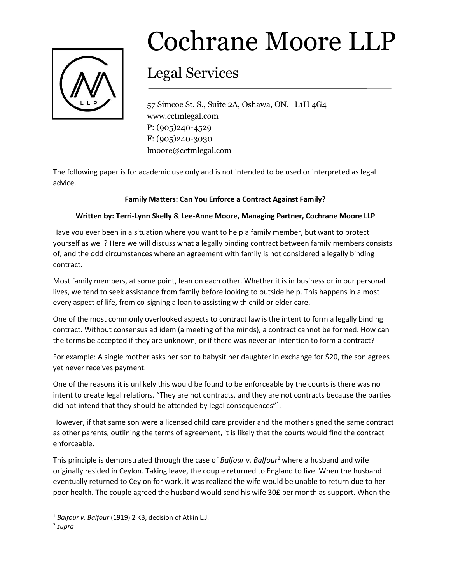

## Cochrane Moore LLP

## Legal Services

57 Simcoe St. S., Suite 2A, Oshawa, ON. L1H 4G4 www.cctmlegal.com P: (905)240-4529 F: (905)240-3030 lmoore@cctmlegal.com

The following paper is for academic use only and is not intended to be used or interpreted as legal advice.

## **Family Matters: Can You Enforce a Contract Against Family?**

## **Written by: Terri-Lynn Skelly & Lee-Anne Moore, Managing Partner, Cochrane Moore LLP**

Have you ever been in a situation where you want to help a family member, but want to protect yourself as well? Here we will discuss what a legally binding contract between family members consists of, and the odd circumstances where an agreement with family is not considered a legally binding contract.

Most family members, at some point, lean on each other. Whether it is in business or in our personal lives, we tend to seek assistance from family before looking to outside help. This happens in almost every aspect of life, from co-signing a loan to assisting with child or elder care.

One of the most commonly overlooked aspects to contract law is the intent to form a legally binding contract. Without consensus ad idem (a meeting of the minds), a contract cannot be formed. How can the terms be accepted if they are unknown, or if there was never an intention to form a contract?

For example: A single mother asks her son to babysit her daughter in exchange for \$20, the son agrees yet never receives payment.

One of the reasons it is unlikely this would be found to be enforceable by the courts is there was no intent to create legal relations. "They are not contracts, and they are not contracts because the parties did not intend that they should be attended by legal consequences"<sup>1</sup>.

However, if that same son were a licensed child care provider and the mother signed the same contract as other parents, outlining the terms of agreement, it is likely that the courts would find the contract enforceable.

This principle is demonstrated through the case of *Balfour v. Balfour<sup>2</sup>* where a husband and wife originally resided in Ceylon. Taking leave, the couple returned to England to live. When the husband eventually returned to Ceylon for work, it was realized the wife would be unable to return due to her poor health. The couple agreed the husband would send his wife 30£ per month as support. When the

 $\overline{\phantom{a}}$ 

<sup>1</sup> *Balfour v. Balfour* (1919) 2 KB, decision of Atkin L.J.

<sup>2</sup> *supra*